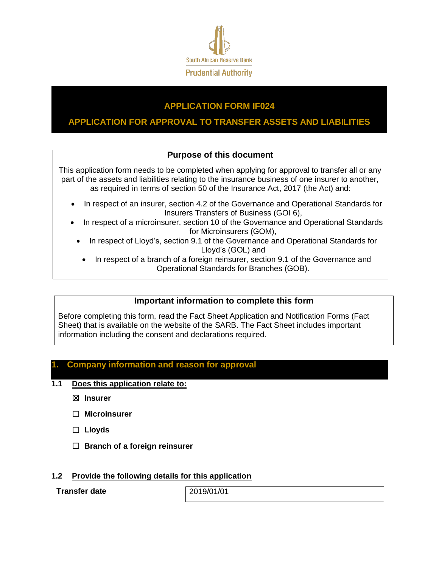

# **APPLICATION FORM IF024**

# **APPLICATION FOR APPROVAL TO TRANSFER ASSETS AND LIABILITIES**

# **Purpose of this document**

This application form needs to be completed when applying for approval to transfer all or any part of the assets and liabilities relating to the insurance business of one insurer to another, as required in terms of section 50 of the Insurance Act, 2017 (the Act) and:

- In respect of an insurer, section 4.2 of the Governance and Operational Standards for Insurers Transfers of Business (GOI 6),
- In respect of a microinsurer, section 10 of the Governance and Operational Standards for Microinsurers (GOM),
	- In respect of Lloyd's, section 9.1 of the Governance and Operational Standards for Lloyd's (GOL) and
		- In respect of a branch of a foreign reinsurer, section 9.1 of the Governance and Operational Standards for Branches (GOB).

# **Important information to complete this form**

Before completing this form, read the Fact Sheet Application and Notification Forms (Fact Sheet) that is available on the website of the SARB. The Fact Sheet includes important information including the consent and declarations required.

## **1. Company information and reason for approval**

### **1.1 Does this application relate to:**

☒ **Insurer**

☐ **Microinsurer**

- ☐ **Lloyds**
- ☐ **Branch of a foreign reinsurer**

### **1.2 Provide the following details for this application**

**Transfer date** 2019/01/01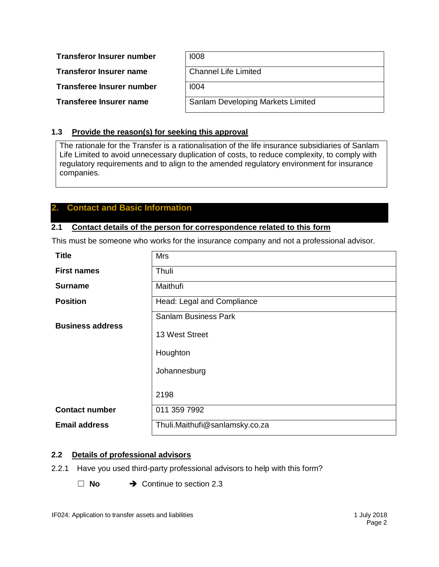**Transferor Insurer number** 

**Transferor Insurer name** 

**Transferee Insurer number** 

**Transferee Insurer name** 

| 1008                              |
|-----------------------------------|
| <b>Channel Life Limited</b>       |
| 1004                              |
| Sanlam Developing Markets Limited |

# **1.3 Provide the reason(s) for seeking this approval**

The rationale for the Transfer is a rationalisation of the life insurance subsidiaries of Sanlam Life Limited to avoid unnecessary duplication of costs, to reduce complexity, to comply with regulatory requirements and to align to the amended regulatory environment for insurance companies.

# **2. Contact and Basic Information**

### **2.1 Contact details of the person for correspondence related to this form**

This must be someone who works for the insurance company and not a professional advisor.

| <b>Title</b>            | <b>Mrs</b>                     |
|-------------------------|--------------------------------|
| <b>First names</b>      | Thuli                          |
| <b>Surname</b>          | Maithufi                       |
| <b>Position</b>         | Head: Legal and Compliance     |
|                         | <b>Sanlam Business Park</b>    |
| <b>Business address</b> | 13 West Street                 |
|                         | Houghton                       |
|                         | Johannesburg                   |
|                         | 2198                           |
| <b>Contact number</b>   | 011 359 7992                   |
| <b>Email address</b>    | Thuli.Maithufi@sanlamsky.co.za |

## <span id="page-1-0"></span>**2.2 Details of professional advisors**

- 2.2.1 Have you used third-party professional advisors to help with this form?
	- □ **No** → Continue to section [2.3](#page-2-0)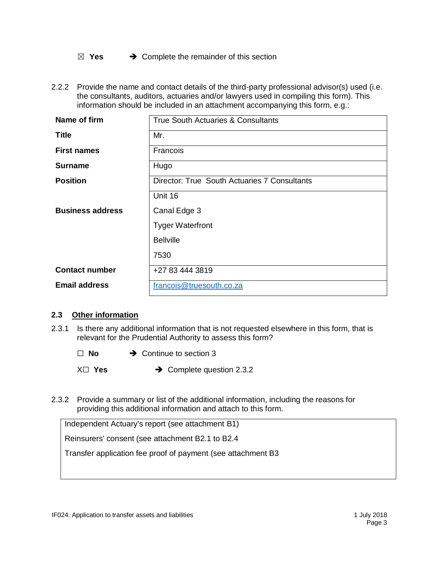☒ **Yes** Complete the remainder of this section

2.2.2 Provide the name and contact details of the third-party professional advisor(s) used (i.e. the consultants, auditors, actuaries and/or lawyers used in compiling this form). This information should be included in an attachment accompanying this form, e.g.:

| Name of firm            | True South Actuaries & Consultants           |
|-------------------------|----------------------------------------------|
| <b>Title</b>            | Mr.                                          |
| <b>First names</b>      | Francois                                     |
| <b>Surname</b>          | Hugo                                         |
| <b>Position</b>         | Director: True South Actuaries 7 Consultants |
|                         | Unit 16                                      |
| <b>Business address</b> | Canal Edge 3                                 |
|                         | <b>Tyger Waterfront</b>                      |
|                         | <b>Bellville</b>                             |
|                         | 7530                                         |
| <b>Contact number</b>   | +27 83 444 3819                              |
| <b>Email address</b>    | francois@truesouth.co.za                     |

### <span id="page-2-0"></span>**2.3 Other information**

2.3.1 Is there any additional information that is not requested elsewhere in this form, that is relevant for the Prudential Authority to assess this form?

□ **No** → Continue to section [3](#page-3-0)

X□ **Yes** → Complete question [2.3.2](#page-2-1)

<span id="page-2-1"></span>2.3.2 Provide a summary or list of the additional information, including the reasons for providing this additional information and attach to this form.

Independent Actuary's report (see attachment B1)

Reinsurers' consent (see attachment B2.1 to B2.4

Transfer application fee proof of payment (see attachment B3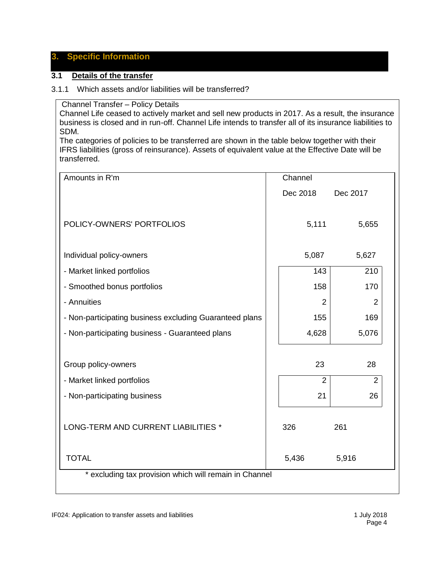# <span id="page-3-0"></span>**3. Specific Information**

### **3.1 Details of the transfer**

#### <span id="page-3-1"></span>3.1.1 Which assets and/or liabilities will be transferred?

Channel Transfer – Policy Details

Channel Life ceased to actively market and sell new products in 2017. As a result, the insurance business is closed and in run-off. Channel Life intends to transfer all of its insurance liabilities to SDM.

The categories of policies to be transferred are shown in the table below together with their IFRS liabilities (gross of reinsurance). Assets of equivalent value at the Effective Date will be transferred.

| Amounts in R'm                                          | Channel        |                |  |  |  |
|---------------------------------------------------------|----------------|----------------|--|--|--|
|                                                         | Dec 2018       | Dec 2017       |  |  |  |
|                                                         |                |                |  |  |  |
| POLICY-OWNERS' PORTFOLIOS                               | 5,111          | 5,655          |  |  |  |
|                                                         |                |                |  |  |  |
| Individual policy-owners                                | 5,087          | 5,627          |  |  |  |
| - Market linked portfolios                              | 143            | 210            |  |  |  |
| - Smoothed bonus portfolios                             | 158            | 170            |  |  |  |
| - Annuities                                             | $\overline{2}$ | $\overline{2}$ |  |  |  |
| - Non-participating business excluding Guaranteed plans | 155            | 169            |  |  |  |
| - Non-participating business - Guaranteed plans         | 4,628          | 5,076          |  |  |  |
|                                                         |                |                |  |  |  |
| Group policy-owners                                     | 23             | 28             |  |  |  |
| - Market linked portfolios                              | $\overline{2}$ | $\overline{2}$ |  |  |  |
| - Non-participating business                            | 21             | 26             |  |  |  |
|                                                         |                |                |  |  |  |
| LONG-TERM AND CURRENT LIABILITIES *                     | 326            | 261            |  |  |  |
|                                                         |                |                |  |  |  |
| <b>TOTAL</b>                                            | 5,436          | 5,916          |  |  |  |
| * excluding tax provision which will remain in Channel  |                |                |  |  |  |
|                                                         |                |                |  |  |  |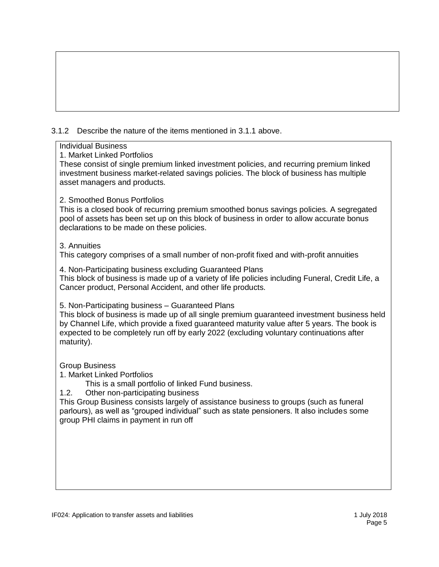# 3.1.2 Describe the nature of the items mentioned in [3.1.1](#page-3-1) above.

### Individual Business

1. Market Linked Portfolios

These consist of single premium linked investment policies, and recurring premium linked investment business market-related savings policies. The block of business has multiple asset managers and products.

## 2. Smoothed Bonus Portfolios

This is a closed book of recurring premium smoothed bonus savings policies. A segregated pool of assets has been set up on this block of business in order to allow accurate bonus declarations to be made on these policies.

## 3. Annuities

This category comprises of a small number of non-profit fixed and with-profit annuities

4. Non-Participating business excluding Guaranteed Plans This block of business is made up of a variety of life policies including Funeral, Credit Life, a Cancer product, Personal Accident, and other life products.

5. Non-Participating business – Guaranteed Plans

This block of business is made up of all single premium guaranteed investment business held by Channel Life, which provide a fixed guaranteed maturity value after 5 years. The book is expected to be completely run off by early 2022 (excluding voluntary continuations after maturity).

Group Business

1. Market Linked Portfolios

This is a small portfolio of linked Fund business.

1.2. Other non-participating business

This Group Business consists largely of assistance business to groups (such as funeral parlours), as well as "grouped individual" such as state pensioners. It also includes some group PHI claims in payment in run off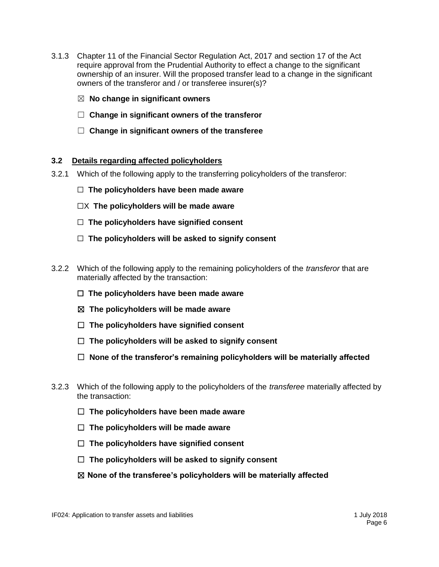- 3.1.3 Chapter 11 of the Financial Sector Regulation Act, 2017 and section 17 of the Act require approval from the Prudential Authority to effect a change to the significant ownership of an insurer. Will the proposed transfer lead to a change in the significant owners of the transferor and / or transferee insurer(s)?
	- ☒ **No change in significant owners**
	- ☐ **Change in significant owners of the transferor**
	- ☐ **Change in significant owners of the transferee**

#### **3.2 Details regarding affected policyholders**

- 3.2.1 Which of the following apply to the transferring policyholders of the transferor:
	- ☐ **The policyholders have been made aware**
	- ☐X **The policyholders will be made aware**
	- ☐ **The policyholders have signified consent**
	- ☐ **The policyholders will be asked to signify consent**
- 3.2.2 Which of the following apply to the remaining policyholders of the *transferor* that are materially affected by the transaction:
	- ☐ **The policyholders have been made aware**
	- ☒ **The policyholders will be made aware**
	- ☐ **The policyholders have signified consent**
	- ☐ **The policyholders will be asked to signify consent**
	- ☐ **None of the transferor's remaining policyholders will be materially affected**
- 3.2.3 Which of the following apply to the policyholders of the *transferee* materially affected by the transaction:
	- ☐ **The policyholders have been made aware**
	- ☐ **The policyholders will be made aware**
	- ☐ **The policyholders have signified consent**
	- ☐ **The policyholders will be asked to signify consent**
	- ☒ **None of the transferee's policyholders will be materially affected**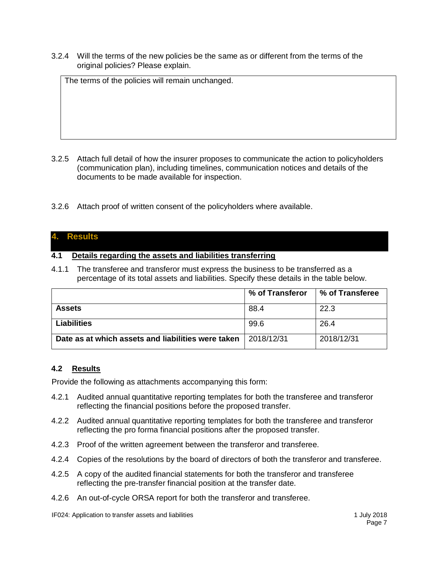3.2.4 Will the terms of the new policies be the same as or different from the terms of the original policies? Please explain.

The terms of the policies will remain unchanged.

- 3.2.5 Attach full detail of how the insurer proposes to communicate the action to policyholders (communication plan), including timelines, communication notices and details of the documents to be made available for inspection.
- 3.2.6 Attach proof of written consent of the policyholders where available.

## **4. Results**

### **4.1 Details regarding the assets and liabilities transferring**

4.1.1 The transferee and transferor must express the business to be transferred as a percentage of its total assets and liabilities. Specify these details in the table below.

|                                                    | % of Transferor | % of Transferee |
|----------------------------------------------------|-----------------|-----------------|
| <b>Assets</b>                                      | 88.4            | 22.3            |
| <b>Liabilities</b>                                 | 99.6            | 26.4            |
| Date as at which assets and liabilities were taken | 2018/12/31      | 2018/12/31      |

### **4.2 Results**

Provide the following as attachments accompanying this form:

- <span id="page-6-0"></span>4.2.1 Audited annual quantitative reporting templates for both the transferee and transferor reflecting the financial positions before the proposed transfer.
- <span id="page-6-1"></span>4.2.2 Audited annual quantitative reporting templates for both the transferee and transferor reflecting the pro forma financial positions after the proposed transfer.
- <span id="page-6-2"></span>4.2.3 Proof of the written agreement between the transferor and transferee.
- <span id="page-6-3"></span>4.2.4 Copies of the resolutions by the board of directors of both the transferor and transferee.
- <span id="page-6-4"></span>4.2.5 A copy of the audited financial statements for both the transferor and transferee reflecting the pre-transfer financial position at the transfer date.
- <span id="page-6-5"></span>4.2.6 An out-of-cycle ORSA report for both the transferor and transferee.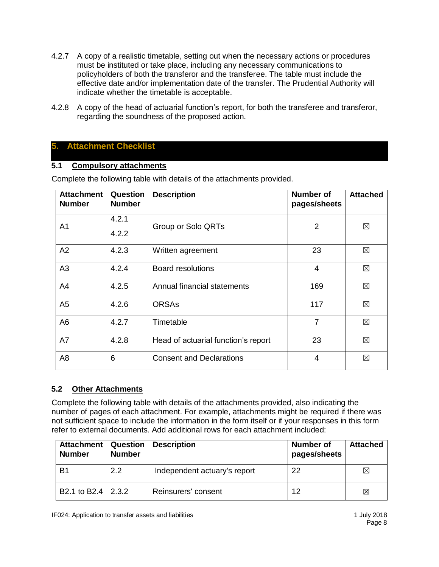- <span id="page-7-0"></span>4.2.7 A copy of a realistic timetable, setting out when the necessary actions or procedures must be instituted or take place, including any necessary communications to policyholders of both the transferor and the transferee. The table must include the effective date and/or implementation date of the transfer. The Prudential Authority will indicate whether the timetable is acceptable.
- <span id="page-7-1"></span>4.2.8 A copy of the head of actuarial function's report, for both the transferee and transferor, regarding the soundness of the proposed action.

# **5. Attachment Checklist**

### **5.1 Compulsory attachments**

| <b>Attachment</b><br><b>Number</b> | Question<br><b>Number</b> | <b>Description</b>                  | Number of<br>pages/sheets | <b>Attached</b> |
|------------------------------------|---------------------------|-------------------------------------|---------------------------|-----------------|
| A <sub>1</sub>                     | 4.2.1                     | Group or Solo QRTs                  | 2                         | ⊠               |
|                                    | 4.2.2                     |                                     |                           |                 |
| A2                                 | 4.2.3                     | Written agreement                   | 23                        | ⊠               |
| A3                                 | 4.2.4                     | <b>Board resolutions</b>            | $\overline{4}$            | $\boxtimes$     |
| A4                                 | 4.2.5                     | Annual financial statements         | 169                       | $\boxtimes$     |
| A <sub>5</sub>                     | 4.2.6                     | <b>ORSAs</b>                        | 117                       | $\boxtimes$     |
| A <sub>6</sub>                     | 4.2.7                     | Timetable                           | $\overline{7}$            | $\boxtimes$     |
| A7                                 | 4.2.8                     | Head of actuarial function's report | 23                        | $\boxtimes$     |
| A <sub>8</sub>                     | 6                         | <b>Consent and Declarations</b>     | 4                         | ⊠               |

Complete the following table with details of the attachments provided.

# **5.2 Other Attachments**

Complete the following table with details of the attachments provided, also indicating the number of pages of each attachment. For example, attachments might be required if there was not sufficient space to include the information in the form itself or if your responses in this form refer to external documents. Add additional rows for each attachment included:

| <b>Attachment</b><br><b>Number</b> | <b>Question</b><br><b>Number</b> | <b>Description</b>           | Number of<br>pages/sheets | <b>Attached</b> |
|------------------------------------|----------------------------------|------------------------------|---------------------------|-----------------|
| B <sub>1</sub>                     | 2.2                              | Independent actuary's report | 22                        | $\boxtimes$     |
| B2.1 to B2.4 2.3.2                 |                                  | Reinsurers' consent          | 12                        | 図               |